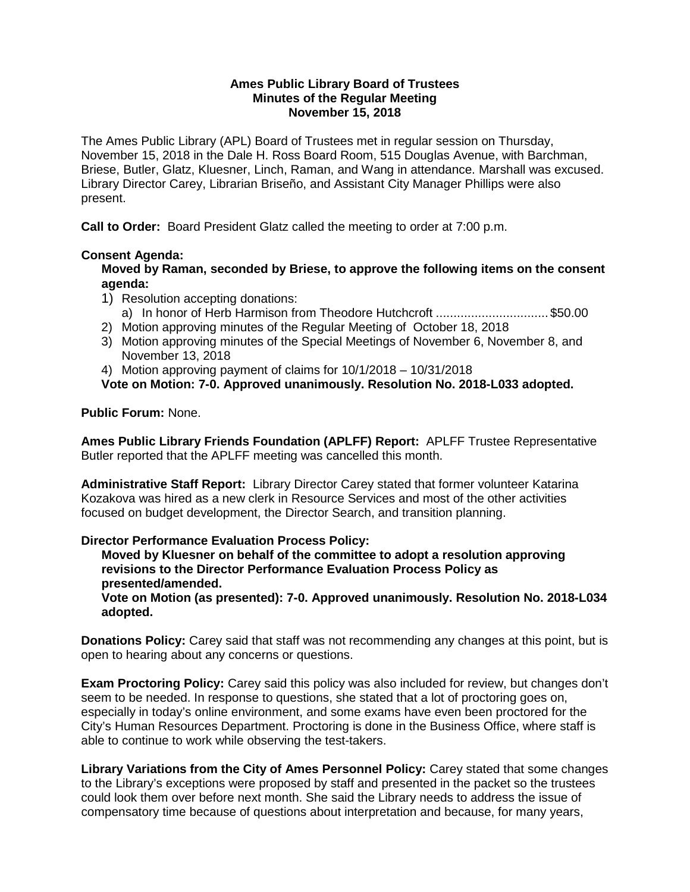#### **Ames Public Library Board of Trustees Minutes of the Regular Meeting November 15, 2018**

The Ames Public Library (APL) Board of Trustees met in regular session on Thursday, November 15, 2018 in the Dale H. Ross Board Room, 515 Douglas Avenue, with Barchman, Briese, Butler, Glatz, Kluesner, Linch, Raman, and Wang in attendance. Marshall was excused. Library Director Carey, Librarian Briseño, and Assistant City Manager Phillips were also present.

**Call to Order:** Board President Glatz called the meeting to order at 7:00 p.m.

# **Consent Agenda:**

**Moved by Raman, seconded by Briese, to approve the following items on the consent agenda:**

- 1) Resolution accepting donations:
	- a) In honor of Herb Harmison from Theodore Hutchcroft ................................ \$50.00
- 2) Motion approving minutes of the Regular Meeting of October 18, 2018
- 3) Motion approving minutes of the Special Meetings of November 6, November 8, and November 13, 2018
- 4) Motion approving payment of claims for 10/1/2018 10/31/2018

**Vote on Motion: 7-0. Approved unanimously. Resolution No. 2018-L033 adopted.**

## **Public Forum:** None.

**Ames Public Library Friends Foundation (APLFF) Report:** APLFF Trustee Representative Butler reported that the APLFF meeting was cancelled this month.

**Administrative Staff Report:** Library Director Carey stated that former volunteer Katarina Kozakova was hired as a new clerk in Resource Services and most of the other activities focused on budget development, the Director Search, and transition planning.

## **Director Performance Evaluation Process Policy:**

**Moved by Kluesner on behalf of the committee to adopt a resolution approving revisions to the Director Performance Evaluation Process Policy as presented/amended.**

**Vote on Motion (as presented): 7-0. Approved unanimously. Resolution No. 2018-L034 adopted.**

**Donations Policy:** Carey said that staff was not recommending any changes at this point, but is open to hearing about any concerns or questions.

**Exam Proctoring Policy:** Carey said this policy was also included for review, but changes don't seem to be needed. In response to questions, she stated that a lot of proctoring goes on, especially in today's online environment, and some exams have even been proctored for the City's Human Resources Department. Proctoring is done in the Business Office, where staff is able to continue to work while observing the test-takers.

**Library Variations from the City of Ames Personnel Policy:** Carey stated that some changes to the Library's exceptions were proposed by staff and presented in the packet so the trustees could look them over before next month. She said the Library needs to address the issue of compensatory time because of questions about interpretation and because, for many years,